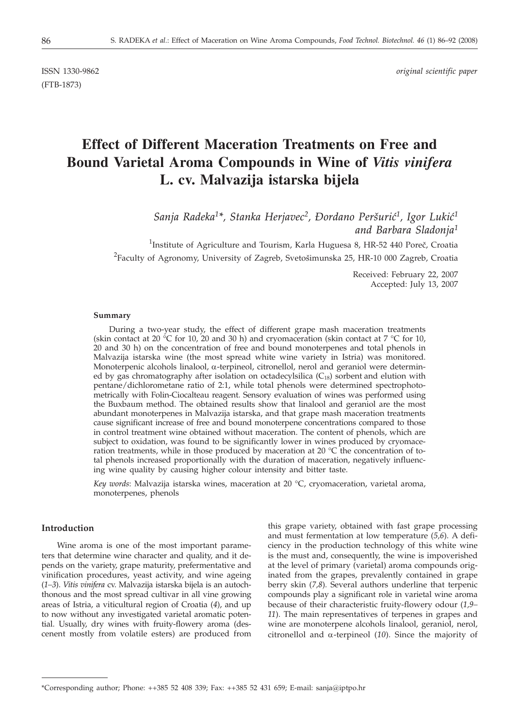(FTB-1873)

ISSN 1330-9862 *original scientific paper*

# **Effect of Different Maceration Treatments on Free and Bound Varietal Aroma Compounds in Wine of** *Vitis vinifera* **L. cv. Malvazija istarska bijela**

Sanja Radeka<sup>1\*</sup>, Stanka Herjavec<sup>2</sup>, Đordano Peršurić<sup>1</sup>, Igor Lukić<sup>1</sup> *and Barbara Sladonja1*

<sup>1</sup>Institute of Agriculture and Tourism, Karla Huguesa 8, HR-52 440 Poreč, Croatia  $^{2}$ Faculty of Agronomy, University of Zagreb, Svetošimunska 25, HR-10 000 Zagreb, Croatia

> Received: February 22, 2007 Accepted: July 13, 2007

#### **Summary**

During a two-year study, the effect of different grape mash maceration treatments (skin contact at 20 °C for 10, 20 and 30 h) and cryomaceration (skin contact at 7 °C for 10, 20 and 30 h) on the concentration of free and bound monoterpenes and total phenols in Malvazija istarska wine (the most spread white wine variety in Istria) was monitored. Monoterpenic alcohols linalool,  $\alpha$ -terpineol, citronellol, nerol and geraniol were determined by gas chromatography after isolation on octadecylsilica  $(C_{18})$  sorbent and elution with pentane/dichlorometane ratio of 2:1, while total phenols were determined spectrophotometrically with Folin-Ciocalteau reagent. Sensory evaluation of wines was performed using the Buxbaum method. The obtained results show that linalool and geraniol are the most abundant monoterpenes in Malvazija istarska, and that grape mash maceration treatments cause significant increase of free and bound monoterpene concentrations compared to those in control treatment wine obtained without maceration. The content of phenols, which are subject to oxidation, was found to be significantly lower in wines produced by cryomaceration treatments, while in those produced by maceration at 20  $^{\circ}$ C the concentration of total phenols increased proportionally with the duration of maceration, negatively influencing wine quality by causing higher colour intensity and bitter taste.

*Key words*: Malvazija istarska wines, maceration at 20 °C, cryomaceration, varietal aroma, monoterpenes, phenols

## **Introduction**

Wine aroma is one of the most important parameters that determine wine character and quality, and it depends on the variety, grape maturity, prefermentative and vinification procedures, yeast activity, and wine ageing (*1–3*). *Vitis vinifera* cv. Malvazija istarska bijela is an autochthonous and the most spread cultivar in all vine growing areas of Istria, a viticultural region of Croatia (*4*), and up to now without any investigated varietal aromatic potential. Usually, dry wines with fruity-flowery aroma (descenent mostly from volatile esters) are produced from

this grape variety, obtained with fast grape processing and must fermentation at low temperature (*5,6*). A deficiency in the production technology of this white wine is the must and, consequently, the wine is impoverished at the level of primary (varietal) aroma compounds originated from the grapes, prevalently contained in grape berry skin (*7,8*)*.* Several authors underline that terpenic compounds play a significant role in varietal wine aroma because of their characteristic fruity-flowery odour (*1,9– 11*). The main representatives of terpenes in grapes and wine are monoterpene alcohols linalool, geraniol, nerol, citronellol and a-terpineol (*10*). Since the majority of

<sup>\*</sup>Corresponding author; Phone: ++385 52 408 339; Fax: ++385 52 431 659; E-mail: sanja*@*iptpo.hr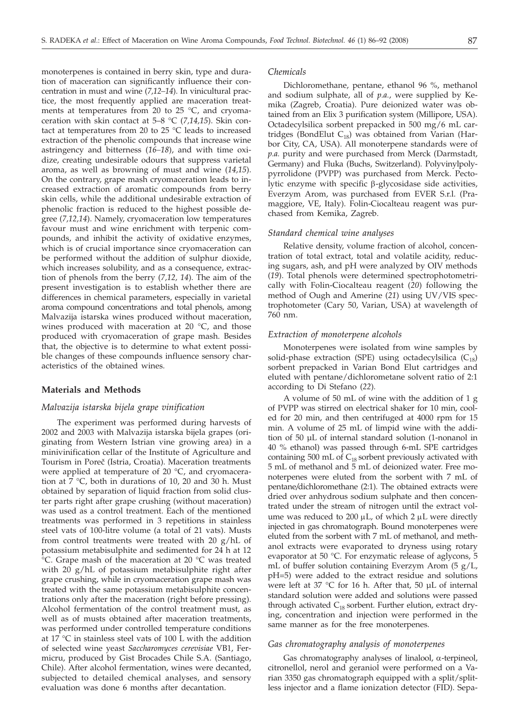monoterpenes is contained in berry skin, type and duration of maceration can significantly influence their concentration in must and wine (*7,12–14*). In vinicultural practice, the most frequently applied are maceration treatments at temperatures from 20 to 25  $^{\circ}$ C, and cryomaceration with skin contact at 5–8 °C (*7,14,15*). Skin contact at temperatures from 20 to 25 °C leads to increased extraction of the phenolic compounds that increase wine astringency and bitterness (*16–18*), and with time oxidize, creating undesirable odours that suppress varietal aroma, as well as browning of must and wine (*14,15*). On the contrary, grape mash cryomaceration leads to increased extraction of aromatic compounds from berry skin cells, while the additional undesirable extraction of phenolic fraction is reduced to the highest possible degree (*7,12,14*). Namely, cryomaceration low temperatures favour must and wine enrichment with terpenic compounds, and inhibit the activity of oxidative enzymes, which is of crucial importance since cryomaceration can be performed without the addition of sulphur dioxide, which increases solubility, and as a consequence, extraction of phenols from the berry (*7,12, 14*). The aim of the present investigation is to establish whether there are differences in chemical parameters, especially in varietal aroma compound concentrations and total phenols, among Malvazija istarska wines produced without maceration, wines produced with maceration at 20 °C, and those produced with cryomaceration of grape mash. Besides that, the objective is to determine to what extent possible changes of these compounds influence sensory characteristics of the obtained wines.

## **Materials and Methods**

# *Malvazija istarska bijela grape vinification*

The experiment was performed during harvests of 2002 and 2003 with Malvazija istarska bijela grapes (originating from Western Istrian vine growing area) in a minivinification cellar of the Institute of Agriculture and Tourism in Poreč (Istria, Croatia). Maceration treatments were applied at temperature of 20 °C, and cryomaceration at 7 °C, both in durations of 10, 20 and 30 h. Must obtained by separation of liquid fraction from solid cluster parts right after grape crushing (without maceration) was used as a control treatment. Each of the mentioned treatments was performed in 3 repetitions in stainless steel vats of 100-litre volume (a total of 21 vats). Musts from control treatments were treated with 20 g/hL of potassium metabisulphite and sedimented for 24 h at 12 °C. Grape mash of the maceration at 20 °C was treated with 20 g/hL of potassium metabisulphite right after grape crushing, while in cryomaceration grape mash was treated with the same potassium metabisulphite concentrations only after the maceration (right before pressing). Alcohol fermentation of the control treatment must, as well as of musts obtained after maceration treatments, was performed under controlled temperature conditions at 17 °C in stainless steel vats of 100 L with the addition of selected wine yeast *Saccharomyces cerevisiae* VB1, Fermicru, produced by Gist Brocades Chile S.A. (Santiago, Chile). After alcohol fermentation, wines were decanted, subjected to detailed chemical analyses, and sensory evaluation was done 6 months after decantation.

#### *Chemicals*

Dichloromethane, pentane, ethanol 96 %, methanol and sodium sulphate, all of *p.a.*, were supplied by Kemika (Zagreb, Croatia). Pure deionized water was obtained from an Elix 3 purification system (Millipore, USA). Octadecylsilica sorbent prepacked in 500 mg/6 mL cartridges (BondElut  $C_{18}$ ) was obtained from Varian (Harbor City, CA, USA). All monoterpene standards were of *p.a.* purity and were purchased from Merck (Darmstadt, Germany) and Fluka (Buchs, Switzerland). Polyvinylpolypyrrolidone (PVPP) was purchased from Merck. Pectolytic enzyme with specific  $\beta$ -glycosidase side activities, Everzym Arom, was purchased from EVER S.r.l. (Pramaggiore, VE, Italy). Folin-Ciocalteau reagent was purchased from Kemika, Zagreb.

#### *Standard chemical wine analyses*

Relative density, volume fraction of alcohol, concentration of total extract, total and volatile acidity, reducing sugars, ash, and pH were analyzed by OIV methods (*19*). Total phenols were determined spectrophotometrically with Folin-Ciocalteau reagent (*20*) following the method of Ough and Amerine (*21*) using UV/VIS spectrophotometer (Cary 50, Varian, USA) at wavelength of 760 nm.

## *Extraction of monoterpene alcohols*

Monoterpenes were isolated from wine samples by solid-phase extraction (SPE) using octadecylsilica  $(C_{18})$ sorbent prepacked in Varian Bond Elut cartridges and eluted with pentane/dichlorometane solvent ratio of 2:1 according to Di Stefano (*22*)*.*

A volume of 50 mL of wine with the addition of 1 g of PVPP was stirred on electrical shaker for 10 min, cooled for 20 min, and then centrifuged at 4000 rpm for 15 min. A volume of 25 mL of limpid wine with the addition of 50 µL of internal standard solution (1-nonanol in 40 % ethanol) was passed through 6-mL SPE cartridges containing 500 mL of  $C_{18}$  sorbent previously activated with 5 mL of methanol and 5 mL of deionized water. Free monoterpenes were eluted from the sorbent with 7 mL of pentane*/*dichloromethane (2:1). The obtained extracts were dried over anhydrous sodium sulphate and then concentrated under the stream of nitrogen until the extract volume was reduced to 200  $\mu$ L, of which 2  $\mu$ L were directly injected in gas chromatograph. Bound monoterpenes were eluted from the sorbent with 7 mL of methanol, and methanol extracts were evaporated to dryness using rotary evaporator at 50 °C. For enzymatic release of aglycons, 5 mL of buffer solution containing Everzym Arom (5 g/L, pH=5) were added to the extract residue and solutions were left at 37 °C for 16 h. After that, 50 µL of internal standard solution were added and solutions were passed through activated  $C_{18}$  sorbent. Further elution, extract drying, concentration and injection were performed in the same manner as for the free monoterpenes.

## *Gas chromatography analysis of monoterpenes*

Gas chromatography analyses of linalool,  $\alpha$ -terpineol, citronellol, nerol and geraniol were performed on a Varian 3350 gas chromatograph equipped with a split/splitless injector and a flame ionization detector (FID). Sepa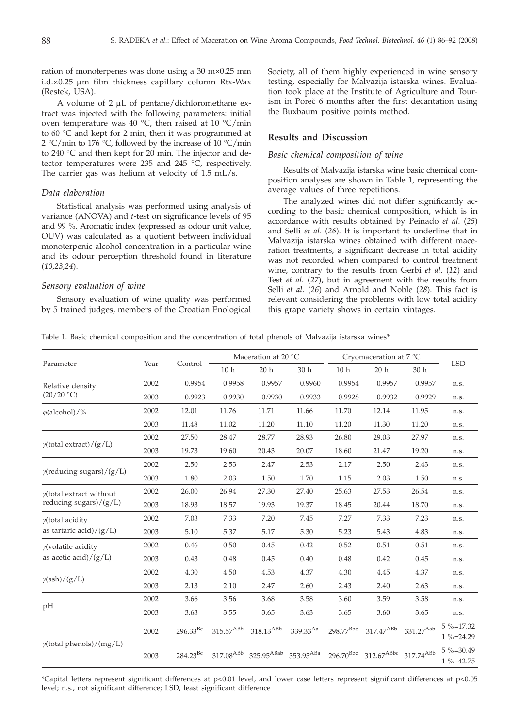ration of monoterpenes was done using a 30 m×0.25 mm  $i.d. \times 0.25$  µm film thickness capillary column Rtx-Wax (Restek, USA).

A volume of  $2 \mu L$  of pentane/dichloromethane extract was injected with the following parameters: initial oven temperature was 40  $^{\circ}$ C, then raised at 10  $^{\circ}$ C/min to 60 °C and kept for 2 min, then it was programmed at 2 °C/min to 176 °C, followed by the increase of 10 °C/min to 240 °C and then kept for 20 min. The injector and detector temperatures were 235 and 245 °C, respectively. The carrier gas was helium at velocity of 1.5 mL/s.

## *Data elaboration*

Statistical analysis was performed using analysis of variance (ANOVA) and *t*-test on significance levels of 95 and 99 %. Aromatic index (expressed as odour unit value, OUV) was calculated as a quotient between individual monoterpenic alcohol concentration in a particular wine and its odour perception threshold found in literature (*10,23,24*).

## *Sensory evaluation of wine*

Sensory evaluation of wine quality was performed by 5 trained judges, members of the Croatian Enological Society, all of them highly experienced in wine sensory testing, especially for Malvazija istarska wines. Evaluation took place at the Institute of Agriculture and Tourism in Poreč 6 months after the first decantation using the Buxbaum positive points method.

## **Results and Discussion**

## *Basic chemical composition of wine*

Results of Malvazija istarska wine basic chemical composition analyses are shown in Table 1, representing the average values of three repetitions.

The analyzed wines did not differ significantly according to the basic chemical composition, which is in accordance with results obtained by Peinado *et al*. (*25*) and Selli *et al*. (*26*). It is important to underline that in Malvazija istarska wines obtained with different maceration treatments, a significant decrease in total acidity was not recorded when compared to control treatment wine, contrary to the results from Gerbi *et al*. (*12*) and Test *et al*. (*27*), but in agreement with the results from Selli *et al*. (*26*) and Arnold and Noble (*28*). This fact is relevant considering the problems with low total acidity this grape variety shows in certain vintages.

Table 1. Basic chemical composition and the concentration of total phenols of Malvazija istarska wines\*

| Parameter                           | Year | Control       | Maceration at 20 °C |                                                               |          | Cryomaceration at 7 °C |                                           |                         |                                |
|-------------------------------------|------|---------------|---------------------|---------------------------------------------------------------|----------|------------------------|-------------------------------------------|-------------------------|--------------------------------|
|                                     |      |               | 10 <sub>h</sub>     | 20h                                                           | 30 h     | 10 <sub>h</sub>        | 20h                                       | 30 h                    | LSD                            |
| Relative density                    | 2002 | 0.9954        | 0.9958              | 0.9957                                                        | 0.9960   | 0.9954                 | 0.9957                                    | 0.9957                  | n.s.                           |
| (20/20 °C)                          | 2003 | 0.9923        | 0.9930              | 0.9930                                                        | 0.9933   | 0.9928                 | 0.9932                                    | 0.9929                  | n.s.                           |
| $\varphi$ (alcohol)/%               | 2002 | 12.01         | 11.76               | 11.71                                                         | 11.66    | 11.70                  | 12.14                                     | 11.95                   | n.s.                           |
|                                     | 2003 | 11.48         | 11.02               | 11.20                                                         | 11.10    | 11.20                  | 11.30                                     | 11.20                   | n.s.                           |
|                                     | 2002 | 27.50         | 28.47               | 28.77                                                         | 28.93    | 26.80                  | 29.03                                     | 27.97                   | n.s.                           |
| $\gamma$ (total extract)/(g/L)      | 2003 | 19.73         | 19.60               | 20.43                                                         | 20.07    | 18.60                  | 21.47                                     | 19.20                   | n.s.                           |
|                                     | 2002 | 2.50          | 2.53                | 2.47                                                          | 2.53     | 2.17                   | 2.50                                      | 2.43                    | n.s.                           |
| $\gamma$ (reducing sugars)/(g/L)    | 2003 | 1.80          | 2.03                | 1.50                                                          | 1.70     | 1.15                   | 2.03                                      | 1.50                    | n.s.                           |
| $y$ (total extract without          | 2002 | 26.00         | 26.94               | 27.30                                                         | 27.40    | 25.63                  | 27.53                                     | 26.54                   | n.s.                           |
| reducing sugars $)/(g/L)$           | 2003 | 18.93         | 18.57               | 19.93                                                         | 19.37    | 18.45                  | 20.44                                     | 18.70                   | n.s.                           |
| $y$ (total acidity                  | 2002 | 7.03          | 7.33                | 7.20                                                          | 7.45     | 7.27                   | 7.33                                      | 7.23                    | n.s.                           |
| as tartaric acid)/ $(g/L)$          | 2003 | 5.10          | 5.37                | 5.17                                                          | 5.30     | 5.23                   | 5.43                                      | 4.83                    | n.s.                           |
| $y$ (volatile acidity               | 2002 | 0.46          | 0.50                | 0.45                                                          | 0.42     | 0.52                   | 0.51                                      | 0.51                    | n.s.                           |
| as acetic acid $/({\rm g}/{\rm L})$ | 2003 | 0.43          | 0.48                | 0.45                                                          | 0.40     | 0.48                   | 0.42                                      | 0.45                    | n.s.                           |
|                                     | 2002 | 4.30          | 4.50                | 4.53                                                          | 4.37     | 4.30                   | 4.45                                      | 4.37                    | n.s.                           |
| $\gamma$ (ash)/(g/L)                | 2003 | 2.13          | 2.10                | 2.47                                                          | 2.60     | 2.43                   | 2.40                                      | 2.63                    | n.s.                           |
|                                     | 2002 | 3.66          | 3.56                | 3.68                                                          | 3.58     | 3.60                   | 3.59                                      | 3.58                    | n.s.                           |
| pH                                  | 2003 | 3.63          | 3.55                | 3.65                                                          | 3.63     | 3.65                   | 3.60                                      | 3.65                    | n.s.                           |
|                                     | 2002 | $296.33^{Bc}$ | $315.57^{ABb}$      | $318.13^{ABb}$                                                | 339.33Aa | $298.77^{\text{Bbc}}$  | $317.47^{\mathrm{A}\mathrm{B}\mathrm{b}}$ | $331.27^{\mathrm{Aab}}$ | $5\% = 17.32$<br>$1\% = 24.29$ |
| $\gamma$ (total phenols)/(mg/L)     | 2003 | $284.23^{Bc}$ |                     | 317.08ABb 325.95ABab 353.95ABa 296.70Bbc 312.67ABbc 317.74ABb |          |                        |                                           |                         | 5 %=30.49<br>$1\% = 42.75$     |

\*Capital letters represent significant differences at p<0.01 level, and lower case letters represent significant differences at p<0.05 level; n.s., not significant difference; LSD, least significant difference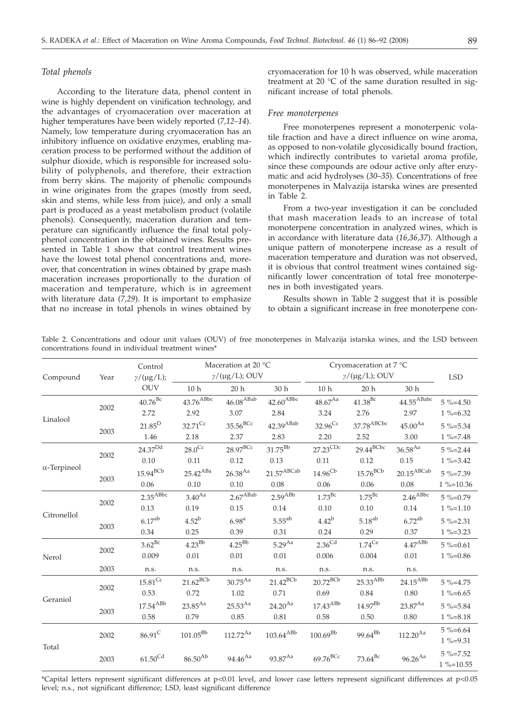## *Total phenols*

According to the literature data, phenol content in wine is highly dependent on vinification technology, and the advantages of cryomaceration over maceration at higher temperatures have been widely reported (*7,12–14*). Namely, low temperature during cryomaceration has an inhibitory influence on oxidative enzymes, enabling maceration process to be performed without the addition of sulphur dioxide, which is responsible for increased solubility of polyphenols, and therefore, their extraction from berry skins. The majority of phenolic compounds in wine originates from the grapes (mostly from seed, skin and stems, while less from juice), and only a small part is produced as a yeast metabolism product (volatile phenols). Consequently, maceration duration and temperature can significantly influence the final total polyphenol concentration in the obtained wines. Results presented in Table 1 show that control treatment wines have the lowest total phenol concentrations and, moreover, that concentration in wines obtained by grape mash maceration increases proportionally to the duration of maceration and temperature, which is in agreement with literature data (*7,29*). It is important to emphasize that no increase in total phenols in wines obtained by

cryomaceration for 10 h was observed, while maceration treatment at 20 °C of the same duration resulted in significant increase of total phenols.

#### *Free monoterpenes*

Free monoterpenes represent a monoterpenic volatile fraction and have a direct influence on wine aroma, as opposed to non-volatile glycosidically bound fraction, which indirectly contributes to varietal aroma profile, since these compounds are odour active only after enzymatic and acid hydrolyses (*30*–*35*). Concentrations of free monoterpenes in Malvazija istarska wines are presented in Table 2.

From a two-year investigation it can be concluded that mash maceration leads to an increase of total monoterpene concentration in analyzed wines, which is in accordance with literature data (*16,36,37*). Although a unique pattern of monoterpene increase as a result of maceration temperature and duration was not observed, it is obvious that control treatment wines contained significantly lower concentration of total free monoterpenes in both investigated years.

Results shown in Table 2 suggest that it is possible to obtain a significant increase in free monoterpene con-

|                             |      | concentrations found in individual treatment wines* |                                                 |                         |                                           |                                                    |                         |                                                     |                               |
|-----------------------------|------|-----------------------------------------------------|-------------------------------------------------|-------------------------|-------------------------------------------|----------------------------------------------------|-------------------------|-----------------------------------------------------|-------------------------------|
| Compound                    | Year | Control<br>$\gamma/(\mu g/L);$                      | Maceration at 20 °C<br>$\gamma/(\mu g/L)$ ; OUV |                         |                                           | Cryomaceration at 7 °C<br>$\gamma/(\mu g/L)$ ; OUV |                         |                                                     | <b>LSD</b>                    |
|                             |      | <b>OUV</b>                                          | 10 <sub>h</sub>                                 | 20h                     | 30 h                                      | 10 <sub>h</sub>                                    | 20h                     | 30 <sub>h</sub>                                     |                               |
| 2002<br>Linalool<br>2003    |      | $40.76$ <sup>Bc</sup>                               | 43.76 <sup>ABbc</sup>                           | $46.08$ <sup>ABab</sup> | $42.60$ <sup>ABbc</sup>                   | $48.67^{Aa}$                                       | $41.38^{Bc}$            | $44.55^{\mathrm{ABabc}}$                            | $5\% = 4.50$                  |
|                             |      | 2.72                                                | 2.92                                            | 3.07                    | 2.84                                      | 3.24                                               | 2.76                    | 2.97                                                | $1\% = 6.32$                  |
|                             |      | $21.85^{\rm D}$                                     | $32.71^{\text{Cc}}$                             | $35.56$ <sup>BCc</sup>  | $42.39^{\rm A Bab}$                       | $32.96^{\text{Cc}}$                                | 37.78 ABCbc             | $45.00^{Aa}$                                        | $5\% = 5.34$                  |
|                             |      | 1.46                                                | 2.18                                            | 2.37                    | 2.83                                      | 2.20                                               | 2.52                    | 3.00                                                | $1\% = 7.48$                  |
|                             |      | 24.37 <sup>Dd</sup>                                 | $28.0^{Cc}$                                     | $28.97^{BCC}$           | $31.75^{Bb}$                              | $27.23^{\overline{\text{CDc}}}$                    | $29.44$ <sup>BCbc</sup> | $36.58^{Aa}$                                        | $5\% = 2.44$                  |
|                             | 2002 | 0.10                                                | 0.11                                            | 0.12                    | 0.13                                      | 0.11                                               | 0.12                    | 0.15                                                | $1\% = 3.42$                  |
| $\alpha$ -Terpineol<br>2003 |      | $15.94$ <sup>BCb</sup>                              | $25.42^{\mathrm{A}\mathrm{Ba}}$                 | $26.38^{Aa}$            | $21.57^{\mathrm{ABCab}}$                  | $14.96^{\rm Cb}$                                   | $15.76^{\rm BCb}$       | $20.15^{\mathrm{A}\mathrm{B}\mathrm{C}\mathrm{ab}}$ | $5\% = 7.39$                  |
|                             |      | 0.06                                                | 0.10                                            | 0.10                    | 0.08                                      | 0.06                                               | 0.06                    | 0.08                                                | $1\% = 10.36$                 |
|                             |      | $2.35^{ABbc}$                                       | 3.40 <sup>Aa</sup>                              | $2.67$ <sup>ABab</sup>  | $2.59^{ABB}$                              | $1.73$ <sup>Bc</sup>                               | $1.75^{\rm Bc}$         | $2.46^{ABbc}$                                       | $5\% = 0.79$                  |
| Citronellol                 | 2002 | 0.13                                                | 0.19                                            | $0.15\,$                | 0.14                                      | 0.10                                               | 0.10                    | 0.14                                                | $1\% = 1.10$                  |
|                             |      | $6.17^{ab}$                                         | $4.52^{\rm b}$                                  | 6.98 <sup>a</sup>       | $5.55^{ab}$                               | $4.42^b$                                           | $5.18^{ab}$             | $6.72^{ab}$                                         | $5\% = 2.31$                  |
|                             | 2003 | 0.34                                                | 0.25                                            | 0.39                    | 0.31                                      | $0.24\,$                                           | 0.29                    | 0.37                                                | $1\% = 3.23$                  |
|                             |      | $3.62^{Bc}$                                         | $4.23^{Bb}$                                     | $4.25^{Bb}$             | $5.29^{Aa}$                               | $2.36^{\text{Cd}}$                                 | $1.74^{\rm Ce}$         | $4.47^{ABb}$                                        | $5\% = 0.61$                  |
| Nerol                       | 2002 | 0.009                                               | 0.01                                            | 0.01                    | 0.01                                      | 0.006                                              | 0.004                   | 0.01                                                | $1\% = 0.86$                  |
|                             | 2003 | n.s.                                                | n.s.                                            | n.s.                    | n.s.                                      | n.s.                                               | n.s.                    | n.s.                                                |                               |
|                             |      | $15.81^{\rm Cc}$                                    | $21.62^{BCb}$                                   | $30.75^{\rm Aa}$        | $21.42^{BCb}$                             | $20.72^{BCb}$                                      | $25.33^{ABb}$           | $24.15^{\mathrm{A}B\mathrm{b}}$                     | $5\% = 4.75$                  |
| Geraniol                    | 2002 | 0.53                                                | 0.72                                            | 1.02                    | 0.71                                      | 0.69                                               | 0.84                    | 0.80                                                | $1\% = 6.65$                  |
|                             |      | $17.54$ <sup>ABb</sup>                              | $23.85^{Aa}$                                    | $25.53^{Aa}$            | $24.20^{Aa}$                              | $17.43^{\mathrm{A}\mathrm{B}\mathrm{b}}$           | $14.97^{\rm Bb}$        | $23.87^{Aa}$                                        | $5\% = 5.84$                  |
|                             | 2003 | 0.58                                                | 0.79                                            | 0.85                    | 0.81                                      | 0.58                                               | 0.50                    | 0.80                                                | $1\% = 8.18$                  |
| Total                       | 2002 | $86.91^C$                                           | $101.05^{Bb}$                                   | $112.72^{Aa}$           | $103.64^{\mathrm{A}\mathrm{B}\mathrm{b}}$ | $100.69^{Bb}$                                      | $99.64^{Bb}$            | $112.20^{Aa}$                                       | $5\% = 6.64$<br>$1\% = 9.31$  |
|                             | 2003 | $61.50^{\text{Cd}}$                                 | $86.50^{Ab}$                                    | $94.46^{Aa}$            | $93.87^{Aa}$                              | $69.76$ <sup>BCc</sup>                             | $73.64^{Bc}$            | $96.26^{Aa}$                                        | $5\% = 7.52$<br>$1\% = 10.55$ |
|                             |      |                                                     |                                                 |                         |                                           |                                                    |                         |                                                     |                               |

Table 2. Concentrations and odour unit values (OUV) of free monoterpenes in Malvazija istarska wines, and the LSD between concentrations found in individual treatment wines\*

\*Capital letters represent significant differences at p<0.01 level, and lower case letters represent significant differences at p<0.05 level; n.s., not significant difference; LSD, least significant difference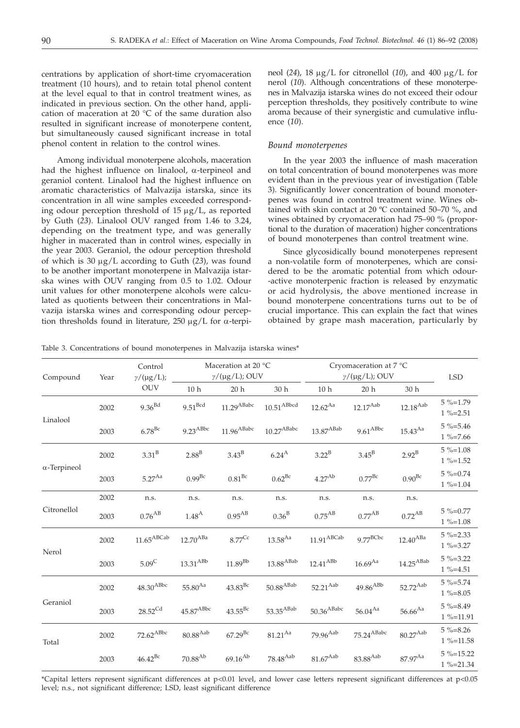centrations by application of short-time cryomaceration treatment (10 hours), and to retain total phenol content at the level equal to that in control treatment wines, as indicated in previous section. On the other hand, application of maceration at 20 °C of the same duration also resulted in significant increase of monoterpene content, but simultaneously caused significant increase in total phenol content in relation to the control wines.

Among individual monoterpene alcohols, maceration had the highest influence on linalool,  $\alpha$ -terpineol and geraniol content. Linalool had the highest influence on aromatic characteristics of Malvazija istarska, since its concentration in all wine samples exceeded corresponding odour perception threshold of  $15 \mu g/L$ , as reported by Guth (*23*). Linalool OUV ranged from 1.46 to 3.24, depending on the treatment type, and was generally higher in macerated than in control wines, especially in the year 2003. Geraniol, the odour perception threshold of which is 30 mg/L according to Guth (*23*), was found to be another important monoterpene in Malvazija istarska wines with OUV ranging from 0.5 to 1.02. Odour unit values for other monoterpene alcohols were calculated as quotients between their concentrations in Malvazija istarska wines and corresponding odour perception thresholds found in literature, 250  $\mu$ g/L for  $\alpha$ -terpineol (24), 18  $\mu$ g/L for citronellol (10), and 400  $\mu$ g/L for nerol (*10*). Although concentrations of these monoterpenes in Malvazija istarska wines do not exceed their odour perception thresholds, they positively contribute to wine aroma because of their synergistic and cumulative influence (*10*).

## *Bound monoterpenes*

In the year 2003 the influence of mash maceration on total concentration of bound monoterpenes was more evident than in the previous year of investigation (Table 3). Significantly lower concentration of bound monoterpenes was found in control treatment wine. Wines obtained with skin contact at 20 ºC contained 50–70 %, and wines obtained by cryomaceration had 75–90 % (proportional to the duration of maceration) higher concentrations of bound monoterpenes than control treatment wine.

Since glycosidically bound monoterpenes represent a non-volatile form of monoterpenes, which are considered to be the aromatic potential from which odour- -active monoterpenic fraction is released by enzymatic or acid hydrolysis, the above mentioned increase in bound monoterpene concentrations turns out to be of crucial importance. This can explain the fact that wines obtained by grape mash maceration, particularly by

Table 3. Concentrations of bound monoterpenes in Malvazija istarska wines\*

| Compound            | Year | Control<br>$\gamma/(\mu\mathrm{g}/\mathrm{L});$ | Maceration at 20 °C<br>$\gamma/(\mu g/L)$ ; OUV |                          |                         | Cryomaceration at 7 °C<br>$\gamma/(\mu\mathrm{g}/\mathrm{L});$ OUV |                                          |                          | <b>LSD</b>                     |
|---------------------|------|-------------------------------------------------|-------------------------------------------------|--------------------------|-------------------------|--------------------------------------------------------------------|------------------------------------------|--------------------------|--------------------------------|
|                     |      | <b>OUV</b>                                      | 10 <sub>h</sub>                                 | 20h                      | 30 h                    | 10 <sub>h</sub>                                                    | 20h                                      | 30 h                     |                                |
| Linalool            | 2002 | 9.36 <sup>Bd</sup>                              | $9.51^{\rm Bcd}$                                | $11.29$ <sup>ABabc</sup> | $10.51^{\rm ABbcd}$     | $12.62^{Aa}$                                                       | $12.17^{\rm Aab}$                        | $12.18^{\mathrm{Aab}}$   | $5\% = 1.79$<br>$1\% = 2.51$   |
|                     | 2003 | $6.78$ <sup>Bc</sup>                            | $9.23^{\rm A Bbc}$                              | $11.96^{\rm A Babc}$     | $10.27^{\rm A Babc}$    | $13.87^{\mathrm{A Bab}}$                                           | $9.61^{\rm A Bbc}$                       | $15.43^{Aa}$             | $5\% = 5.46$<br>$1\% = 7.66$   |
| $\alpha$ -Terpineol | 2002 | 3.31 <sup>B</sup>                               | 2.88 <sup>B</sup>                               | $3.43^{B}$               | $6.24^{\text{A}}$       | $3.22^B$                                                           | $3.45^{B}$                               | $2.92^B$                 | $5\% = 1.08$<br>$1\% = 1.52$   |
|                     | 2003 | $5.27^{Aa}$                                     | $0.99^{Bc}$                                     | 0.81 <sup>BC</sup>       | $0.62^{Bc}$             | $4.27^{Ab}$                                                        | $0.77^{Bc}$                              | $0.90^{\rm Bc}$          | $5\% = 0.74$<br>$1\% = 1.04$   |
|                     | 2002 | n.s.                                            | n.s.                                            | n.s.                     | n.s.                    | n.s.                                                               | n.s.                                     | n.s.                     |                                |
| Citronellol         | 2003 | $0.76$ <sup>AB</sup>                            | 1.48 <sup>A</sup>                               | $0.95^{\rm AB}$          | 0.36 <sup>B</sup>       | $0.75^{\mathrm{A}\mathrm{B}}$                                      | $0.77^{AB}$                              | $0.72$ <sup>AB</sup>     | $5\% = 0.77$<br>$1\% = 1.08$   |
| Nerol               | 2002 | $11.65^{\mathrm{ABCab}}$                        | $12.70^{\mathrm{ABa}}$                          | $8.77^{\rm Cc}$          | $13.58^{Aa}$            | $11.91^{\mathrm{ABCab}}$                                           | $9.77^{BCbc}$                            | $12.40^{\mathrm{ABa}}$   | $5\% = 2.33$<br>$1\% = 3.27$   |
|                     | 2003 | $5.09^{\circ}$                                  | $13.31^{\mathrm{A} \mathrm{B} \mathrm{b}}$      | $11.89^{\rm Bb}$         | $13.88^{\rm A Bab}$     | $12.41^{\mathrm{A}B\mathrm{b}}$                                    | $16.69^{\rm Aa}$                         | $14.25^{\mathrm{A Bab}}$ | $5\% = 3.22$<br>$1\% = 4.51$   |
| Geraniol            | 2002 | $48.30^{\rm A Bbc}$                             | $55.80^{Aa}$                                    | $43.83^{\rm Bc}$         | $50.88^{\rm A Bab}$     | $52.21^{\mathrm{Aab}}$                                             | $49.86^{\mathrm{A}\mathrm{B}\mathrm{b}}$ | $52.72^{\mathrm{Aab}}$   | $5\% = 5.74$<br>$1\% = 8.05$   |
|                     | 2003 | $28.52^{\text{Cd}}$                             | 45.87 <sup>ABbc</sup>                           | $43.55^{Bc}$             | $53.35$ <sup>ABab</sup> | $50.36^{\mathrm{A Babc}}$                                          | $56.04^{Aa}$                             | $56.66^{\rm Aa}$         | $5\% = 8.49$<br>$1\% = 11.91$  |
| Total               | 2002 | $72.62^{\rm A Bbc}$                             | $80.88^{\rm Aab}$                               | $67.29^{Bc}$             | $81.21^{\rm Aa}$        | $79.96$ <sup>Aab</sup>                                             | $75.24^{\mathrm{A Babc}}$                | $80.27^{\rm Aab}$        | $5\% = 8.26$<br>$1\% = 11.58$  |
|                     | 2003 | $46.42^{\rm Bc}$                                | $70.88^{\rm Ab}$                                | $69.16^{Ab}$             | $78.48^{\mathrm{Aab}}$  | $81.67^{\rm Aab}$                                                  | $83.88^{\rm Aab}$                        | $87.97^{Aa}$             | $5\% = 15.22$<br>$1\% = 21.34$ |

\*Capital letters represent significant differences at p<0.01 level, and lower case letters represent significant differences at p<0.05 level; n.s., not significant difference; LSD, least significant difference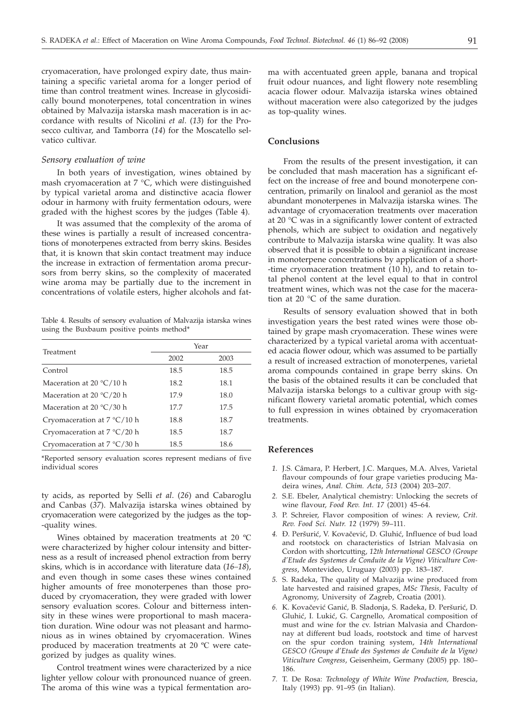cryomaceration, have prolonged expiry date, thus maintaining a specific varietal aroma for a longer period of time than control treatment wines. Increase in glycosidically bound monoterpenes, total concentration in wines obtained by Malvazija istarska mash maceration is in accordance with results of Nicolini *et al*. (*13*) for the Prosecco cultivar, and Tamborra (*14*) for the Moscatello selvatico cultivar.

# *Sensory evaluation of wine*

In both years of investigation, wines obtained by mash cryomaceration at  $7 °C$ , which were distinguished by typical varietal aroma and distinctive acacia flower odour in harmony with fruity fermentation odours, were graded with the highest scores by the judges (Table 4).

It was assumed that the complexity of the aroma of these wines is partially a result of increased concentrations of monoterpenes extracted from berry skins. Besides that, it is known that skin contact treatment may induce the increase in extraction of fermentation aroma precursors from berry skins, so the complexity of macerated wine aroma may be partially due to the increment in concentrations of volatile esters, higher alcohols and fat-

Table 4. Results of sensory evaluation of Malvazija istarska wines using the Buxbaum positive points method\*

|                                      | Year |      |  |  |  |
|--------------------------------------|------|------|--|--|--|
| Treatment                            | 2002 | 2003 |  |  |  |
| Control                              | 18.5 | 18.5 |  |  |  |
| Maceration at 20 $\degree$ C/10 h    | 18.2 | 18.1 |  |  |  |
| Maceration at 20 $\degree$ C/20 h    | 17.9 | 18.0 |  |  |  |
| Maceration at 20 $\degree$ C/30 h    | 17.7 | 17.5 |  |  |  |
| Cryomaceration at $7^{\circ}$ C/10 h | 18.8 | 18.7 |  |  |  |
| Cryomaceration at $7^{\circ}C/20$ h  | 18.5 | 18.7 |  |  |  |
| Cryomaceration at $7^{\circ}$ C/30 h | 18.5 | 18.6 |  |  |  |

\*Reported sensory evaluation scores represent medians of five individual scores

ty acids, as reported by Selli *et al*. (*26*) and Cabaroglu and Canbas (*37*). Malvazija istarska wines obtained by cryomaceration were categorized by the judges as the top- -quality wines.

Wines obtained by maceration treatments at 20 ºC were characterized by higher colour intensity and bitterness as a result of increased phenol extraction from berry skins, which is in accordance with literature data (*16–18*), and even though in some cases these wines contained higher amounts of free monoterpenes than those produced by cryomaceration, they were graded with lower sensory evaluation scores. Colour and bitterness intensity in these wines were proportional to mash maceration duration. Wine odour was not pleasant and harmonious as in wines obtained by cryomaceration. Wines produced by maceration treatments at 20 ºC were categorized by judges as quality wines.

Control treatment wines were characterized by a nice lighter yellow colour with pronounced nuance of green. The aroma of this wine was a typical fermentation aroma with accentuated green apple, banana and tropical fruit odour nuances, and light flowery note resembling acacia flower odour. Malvazija istarska wines obtained without maceration were also categorized by the judges as top-quality wines.

## **Conclusions**

From the results of the present investigation, it can be concluded that mash maceration has a significant effect on the increase of free and bound monoterpene concentration, primarily on linalool and geraniol as the most abundant monoterpenes in Malvazija istarska wines. The advantage of cryomaceration treatments over maceration at 20 °C was in a significantly lower content of extracted phenols, which are subject to oxidation and negatively contribute to Malvazija istarska wine quality. It was also observed that it is possible to obtain a significant increase in monoterpene concentrations by application of a short- -time cryomaceration treatment (10 h), and to retain total phenol content at the level equal to that in control treatment wines, which was not the case for the maceration at 20 °C of the same duration.

Results of sensory evaluation showed that in both investigation years the best rated wines were those obtained by grape mash cryomaceration. These wines were characterized by a typical varietal aroma with accentuated acacia flower odour, which was assumed to be partially a result of increased extraction of monoterpenes, varietal aroma compounds contained in grape berry skins. On the basis of the obtained results it can be concluded that Malvazija istarska belongs to a cultivar group with significant flowery varietal aromatic potential, which comes to full expression in wines obtained by cryomaceration treatments.

# **References**

- *1.* J.S. Câmara, P. Herbert, J.C. Marques, M.A. Alves, Varietal flavour compounds of four grape varieties producing Madeira wines, *Anal. Chim. Acta*, *513* (2004) 203–207.
- *2.* S.E. Ebeler, Analytical chemistry: Unlocking the secrets of wine flavour, *Food Rev. Int. 17* (2001) 45–64.
- *3.* P. Schreier, Flavor composition of wines: A review, *Crit. Rev. Food Sci. Nutr. 12* (1979) 59–111.
- 4. **Đ. Peršurić, V. Kovačević, D. Gluhić, Influence of bud load** and rootstock on characteristics of Istrian Malvasia on Cordon with shortcutting, *12th International GESCO (Groupe d'Etude des Systemes de Conduite de la Vigne) Viticulture Congress*, Montevideo, Uruguay (2003) pp. 183–187.
- *5.* S. Radeka, The quality of Malvazija wine produced from late harvested and raisined grapes, *MSc Thesis,* Faculty of Agronomy, University of Zagreb, Croatia (2001).
- 6. K. Kovačević Ganić, B. Sladonja, S. Radeka, Đ. Peršurić, D. Gluhić, I. Lukić, G. Cargnello, Aromatical composition of must and wine for the cv. Istrian Malvasia and Chardonnay at different bud loads, rootstock and time of harvest on the spur cordon training system, *14th International GESCO (Groupe d'Etude des Systemes de Conduite de la Vigne) Viticulture Congress*, Geisenheim, Germany (2005) pp. 180– 186.
- *7.* T. De Rosa: *Technology of White Wine Production,* Brescia, Italy (1993) pp. 91–95 (in Italian).